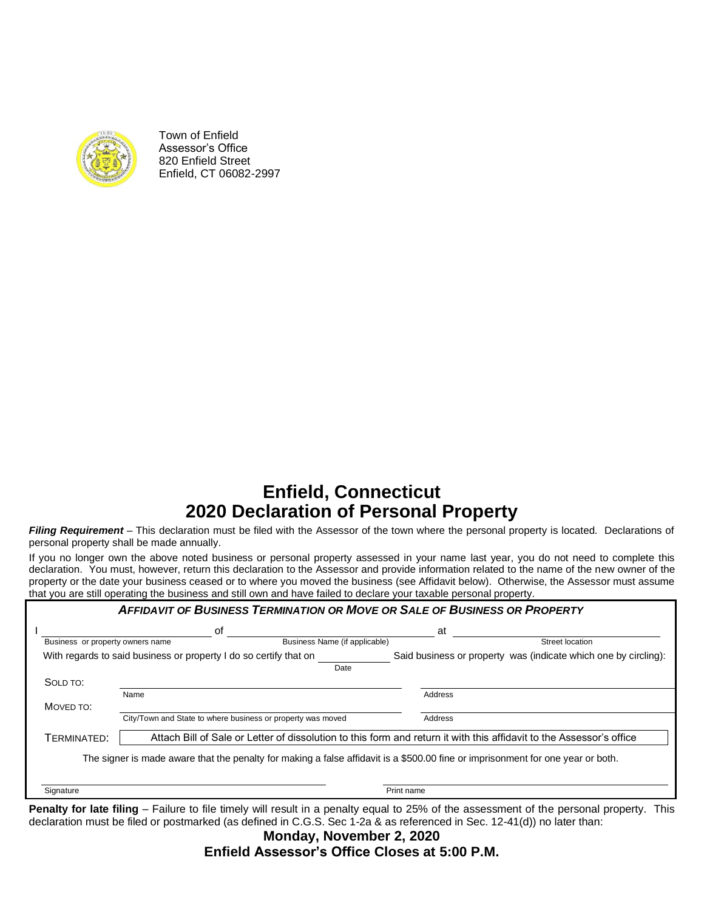

Town of Enfield Assessor's Office 820 Enfield Street Enfield, CT 06082-2997

# **Enfield, Connecticut 2020 Declaration of Personal Property**

*Filing Requirement* – This declaration must be filed with the Assessor of the town where the personal property is located. Declarations of personal property shall be made annually.

If you no longer own the above noted business or personal property assessed in your name last year, you do not need to complete this declaration. You must, however, return this declaration to the Assessor and provide information related to the name of the new owner of the property or the date your business ceased or to where you moved the business (see Affidavit below). Otherwise, the Assessor must assume that you are still operating the business and still own and have failed to declare your taxable personal property.

|                                  | <b>AFFIDAVIT OF BUSINESS TERMINATION OR MOVE OR SALE OF BUSINESS OR PROPERTY</b>                                                |                               |                                                                                                                      |                 |
|----------------------------------|---------------------------------------------------------------------------------------------------------------------------------|-------------------------------|----------------------------------------------------------------------------------------------------------------------|-----------------|
|                                  | οf                                                                                                                              |                               | at                                                                                                                   |                 |
| Business or property owners name |                                                                                                                                 | Business Name (if applicable) |                                                                                                                      | Street location |
|                                  | With regards to said business or property I do so certify that on                                                               |                               | Said business or property was (indicate which one by circling):                                                      |                 |
|                                  |                                                                                                                                 | Date                          |                                                                                                                      |                 |
| SOLD TO:                         |                                                                                                                                 |                               |                                                                                                                      |                 |
|                                  | Name                                                                                                                            |                               | Address                                                                                                              |                 |
| MOVED TO:                        |                                                                                                                                 |                               |                                                                                                                      |                 |
|                                  | City/Town and State to where business or property was moved                                                                     |                               | Address                                                                                                              |                 |
| TERMINATED:                      |                                                                                                                                 |                               | Attach Bill of Sale or Letter of dissolution to this form and return it with this affidavit to the Assessor's office |                 |
|                                  | The signer is made aware that the penalty for making a false affidavit is a \$500.00 fine or imprisonment for one year or both. |                               |                                                                                                                      |                 |
|                                  |                                                                                                                                 |                               |                                                                                                                      |                 |
| Signature                        |                                                                                                                                 |                               | Print name                                                                                                           |                 |

Penalty for late filing – Failure to file timely will result in a penalty equal to 25% of the assessment of the personal property. This declaration must be filed or postmarked (as defined in C.G.S. Sec 1-2a & as referenced in Sec. 12-41(d)) no later than:

**Monday, November 2, 2020 Enfield Assessor's Office Closes at 5:00 P.M.**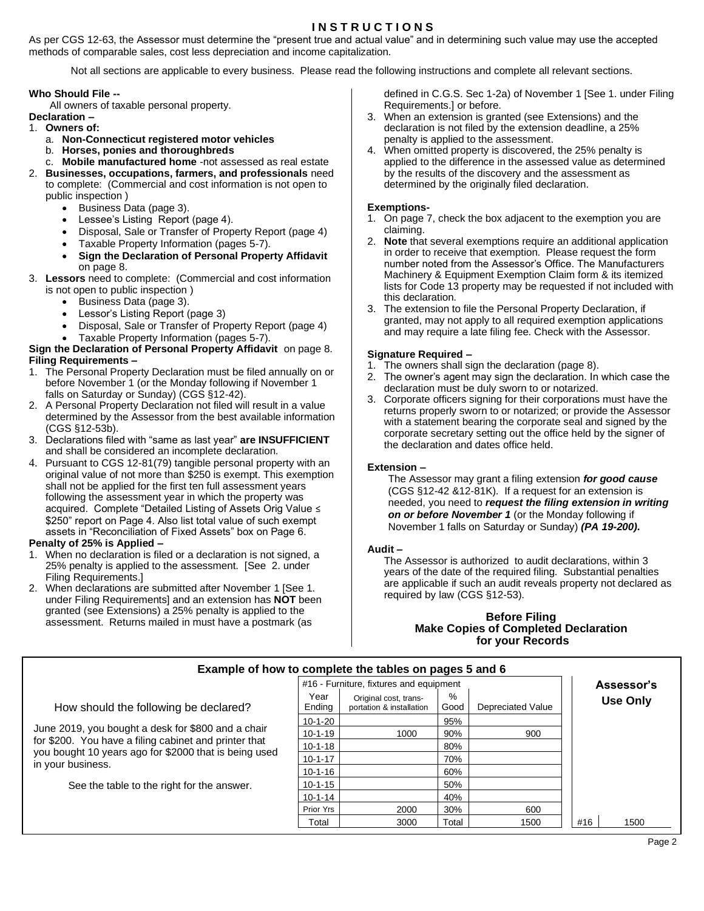## **I N S T R U C T I O N S**

As per CGS 12-63, the Assessor must determine the "present true and actual value" and in determining such value may use the accepted methods of comparable sales, cost less depreciation and income capitalization.

Not all sections are applicable to every business. Please read the following instructions and complete all relevant sections.

## **Who Should File --**

All owners of taxable personal property.

- **Declaration –**
- 1. **Owners of:**
	- a. **Non-Connecticut registered motor vehicles**
	- b. **Horses, ponies and thoroughbreds**
	- c. **Mobile manufactured home** -not assessed as real estate
- 2. **Businesses, occupations, farmers, and professionals** need to complete: (Commercial and cost information is not open to public inspection )
	- Business Data (page 3).
	- Lessee's Listing Report (page 4).
	- Disposal, Sale or Transfer of Property Report (page 4)
	- Taxable Property Information (pages 5-7).
	- **Sign the Declaration of Personal Property Affidavit**
- on page 8. 3. **Lessors** need to complete: (Commercial and cost information is not open to public inspection )
	- Business Data (page 3).
	- Lessor's Listing Report (page 3)
	- Disposal, Sale or Transfer of Property Report (page 4)
	- Taxable Property Information (pages 5-7).

## **Sign the Declaration of Personal Property Affidavit** on page 8. **Filing Requirements –**

- 1. The Personal Property Declaration must be filed annually on or before November 1 (or the Monday following if November 1 falls on Saturday or Sunday) (CGS §12-42).
- 2. A Personal Property Declaration not filed will result in a value determined by the Assessor from the best available information (CGS §12-53b).
- 3. Declarations filed with "same as last year" **are INSUFFICIENT** and shall be considered an incomplete declaration.
- 4. Pursuant to CGS 12-81(79) tangible personal property with an original value of not more than \$250 is exempt. This exemption shall not be applied for the first ten full assessment years following the assessment year in which the property was acquired. Complete "Detailed Listing of Assets Orig Value ≤ \$250" report on Page 4. Also list total value of such exempt assets in "Reconciliation of Fixed Assets" box on Page 6.

## **Penalty of 25% is Applied –**

- 1. When no declaration is filed or a declaration is not signed, a 25% penalty is applied to the assessment. [See 2. under Filing Requirements.]
- 2. When declarations are submitted after November 1 [See 1. under Filing Requirements] and an extension has **NOT** been granted (see Extensions) a 25% penalty is applied to the assessment. Returns mailed in must have a postmark (as

defined in C.G.S. Sec 1-2a) of November 1 [See 1. under Filing Requirements.] or before.

- 3. When an extension is granted (see Extensions) and the declaration is not filed by the extension deadline, a 25% penalty is applied to the assessment.
- 4. When omitted property is discovered, the 25% penalty is applied to the difference in the assessed value as determined by the results of the discovery and the assessment as determined by the originally filed declaration.

## **Exemptions-**

- 1. On page 7, check the box adjacent to the exemption you are claiming.
- 2. **Note** that several exemptions require an additional application in order to receive that exemption. Please request the form number noted from the Assessor's Office. The Manufacturers Machinery & Equipment Exemption Claim form & its itemized lists for Code 13 property may be requested if not included with this declaration.
- 3. The extension to file the Personal Property Declaration, if granted, may not apply to all required exemption applications and may require a late filing fee. Check with the Assessor.

## **Signature Required –**

- 1. The owners shall sign the declaration (page 8).
- 2. The owner's agent may sign the declaration. In which case the declaration must be duly sworn to or notarized.
- 3. Corporate officers signing for their corporations must have the returns properly sworn to or notarized; or provide the Assessor with a statement bearing the corporate seal and signed by the corporate secretary setting out the office held by the signer of the declaration and dates office held.

## **Extension –**

The Assessor may grant a filing extension *for good cause* (CGS §12-42 &12-81K). If a request for an extension is needed, you need to *request the filing extension in writing on or before November 1* (or the Monday following if November 1 falls on Saturday or Sunday) *(PA 19-200)***.**

## **Audit –**

The Assessor is authorized to audit declarations, within 3 years of the date of the required filing. Substantial penalties are applicable if such an audit reveals property not declared as required by law (CGS §12-53).

## **Before Filing Make Copies of Completed Declaration for your Records**

| Example of how to complete the tables on pages 5 and 6                                                         |                |                                                   |              |                   |             |
|----------------------------------------------------------------------------------------------------------------|----------------|---------------------------------------------------|--------------|-------------------|-------------|
|                                                                                                                |                | #16 - Furniture, fixtures and equipment           |              |                   | Assessor's  |
| How should the following be declared?                                                                          | Year<br>Ending | Original cost, trans-<br>portation & installation | $\%$<br>Good | Depreciated Value | Use Only    |
|                                                                                                                | $10-1-20$      |                                                   | 95%          |                   |             |
| June 2019, you bought a desk for \$800 and a chair                                                             | $10-1-19$      | 1000                                              | 90%          | 900               |             |
| for \$200. You have a filing cabinet and printer that<br>you bought 10 years ago for \$2000 that is being used | $10 - 1 - 18$  |                                                   | 80%          |                   |             |
| in your business.                                                                                              | $10 - 1 - 17$  |                                                   | 70%          |                   |             |
|                                                                                                                | $10 - 1 - 16$  |                                                   | 60%          |                   |             |
| See the table to the right for the answer.                                                                     | $10 - 1 - 15$  |                                                   | 50%          |                   |             |
|                                                                                                                | $10 - 1 - 14$  |                                                   | 40%          |                   |             |
|                                                                                                                | Prior Yrs      | 2000                                              | 30%          | 600               |             |
|                                                                                                                | Total          | 3000                                              | Total        | 1500              | #16<br>1500 |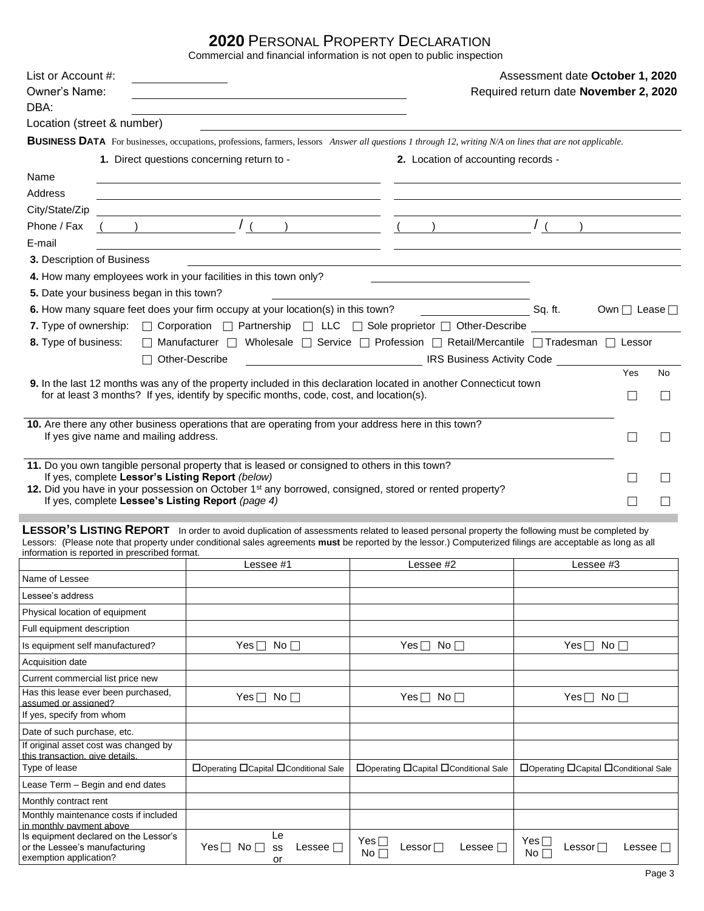## **2020** PERSONAL PROPERTY DECLARATION

Commercial and financial information is not open to public inspection

|                                |                                                  | Commercial and miancial information is not open to public inspection                                                                                                                                                                                                                                                                                                                                                              |                                                   |                                       |                                 |         |    |
|--------------------------------|--------------------------------------------------|-----------------------------------------------------------------------------------------------------------------------------------------------------------------------------------------------------------------------------------------------------------------------------------------------------------------------------------------------------------------------------------------------------------------------------------|---------------------------------------------------|---------------------------------------|---------------------------------|---------|----|
| List or Account #:             |                                                  |                                                                                                                                                                                                                                                                                                                                                                                                                                   |                                                   |                                       | Assessment date October 1, 2020 |         |    |
| Owner's Name:                  |                                                  |                                                                                                                                                                                                                                                                                                                                                                                                                                   |                                                   | Required return date November 2, 2020 |                                 |         |    |
| DBA:                           |                                                  |                                                                                                                                                                                                                                                                                                                                                                                                                                   |                                                   |                                       |                                 |         |    |
|                                | Location (street & number)                       |                                                                                                                                                                                                                                                                                                                                                                                                                                   |                                                   |                                       |                                 |         |    |
|                                |                                                  | BUSINESS DATA For businesses, occupations, professions, farmers, lessors Answer all questions 1 through 12, writing N/A on lines that are not applicable.                                                                                                                                                                                                                                                                         |                                                   |                                       |                                 |         |    |
|                                |                                                  | 1. Direct questions concerning return to -                                                                                                                                                                                                                                                                                                                                                                                        |                                                   | 2. Location of accounting records -   |                                 |         |    |
| Name                           |                                                  | <u> 1989 - Johann Barbara, martxa alemaniar amerikan a</u>                                                                                                                                                                                                                                                                                                                                                                        |                                                   |                                       |                                 |         |    |
| <b>Address</b>                 |                                                  |                                                                                                                                                                                                                                                                                                                                                                                                                                   |                                                   |                                       |                                 |         |    |
| City/State/Zip                 |                                                  | $\frac{1}{\sqrt{1-\frac{1}{\sqrt{1-\frac{1}{\sqrt{1-\frac{1}{\sqrt{1-\frac{1}{\sqrt{1-\frac{1}{\sqrt{1-\frac{1}{\sqrt{1-\frac{1}{\sqrt{1-\frac{1}{\sqrt{1-\frac{1}{\sqrt{1-\frac{1}{\sqrt{1-\frac{1}{\sqrt{1-\frac{1}{\sqrt{1-\frac{1}{\sqrt{1-\frac{1}{\sqrt{1-\frac{1}{\sqrt{1-\frac{1}{\sqrt{1-\frac{1}{\sqrt{1-\frac{1}{\sqrt{1-\frac{1}{\sqrt{1-\frac{1}{\sqrt{1-\frac{1}{\sqrt{1-\frac{1}{\sqrt{1-\frac{1}{\sqrt{1-\frac{1$ |                                                   |                                       |                                 |         |    |
| Phone / Fax                    |                                                  |                                                                                                                                                                                                                                                                                                                                                                                                                                   |                                                   |                                       |                                 |         |    |
| E-mail                         |                                                  |                                                                                                                                                                                                                                                                                                                                                                                                                                   |                                                   |                                       |                                 |         |    |
| 3. Description of Business     |                                                  | <u> 1989 - Johann Stoff, amerikansk politiker (d. 1989)</u>                                                                                                                                                                                                                                                                                                                                                                       |                                                   |                                       |                                 |         |    |
|                                |                                                  | 4. How many employees work in your facilities in this town only?                                                                                                                                                                                                                                                                                                                                                                  | <u> 1989 - John Stone, amerikansk politiker (</u> |                                       |                                 |         |    |
|                                | 5. Date your business began in this town?        |                                                                                                                                                                                                                                                                                                                                                                                                                                   |                                                   |                                       |                                 |         |    |
|                                |                                                  | 6. How many square feet does your firm occupy at your location(s) in this town? Sq. ft.                                                                                                                                                                                                                                                                                                                                           |                                                   |                                       | Own $\Box$ Lease $\Box$         |         |    |
|                                |                                                  | 7. Type of ownership: □ Corporation □ Partnership □ LLC □ Sole proprietor □ Other-Describe                                                                                                                                                                                                                                                                                                                                        |                                                   |                                       |                                 |         |    |
| 8. Type of business:           |                                                  | Manufacturer   Wholesale   Service   Profession   Retail/Mercantile   Tradesman   Lessor                                                                                                                                                                                                                                                                                                                                          |                                                   |                                       |                                 |         |    |
|                                |                                                  | $\Box$ Other-Describe                                                                                                                                                                                                                                                                                                                                                                                                             | <b>IRS Business Activity Code</b>                 |                                       |                                 |         |    |
|                                |                                                  | 9. In the last 12 months was any of the property included in this declaration located in another Connecticut town                                                                                                                                                                                                                                                                                                                 |                                                   |                                       |                                 | Yes     | No |
|                                |                                                  | for at least 3 months? If yes, identify by specific months, code, cost, and location(s).                                                                                                                                                                                                                                                                                                                                          |                                                   |                                       |                                 | $\Box$  |    |
|                                |                                                  |                                                                                                                                                                                                                                                                                                                                                                                                                                   |                                                   |                                       |                                 |         |    |
|                                | If yes give name and mailing address.            | 10. Are there any other business operations that are operating from your address here in this town?                                                                                                                                                                                                                                                                                                                               |                                                   |                                       |                                 |         |    |
|                                |                                                  |                                                                                                                                                                                                                                                                                                                                                                                                                                   |                                                   |                                       |                                 |         |    |
|                                |                                                  | 11. Do you own tangible personal property that is leased or consigned to others in this town?                                                                                                                                                                                                                                                                                                                                     |                                                   |                                       |                                 |         |    |
|                                | If yes, complete Lessor's Listing Report (below) |                                                                                                                                                                                                                                                                                                                                                                                                                                   |                                                   |                                       |                                 |         |    |
|                                |                                                  | 12. Did you have in your possession on October 1 <sup>st</sup> any borrowed, consigned, stored or rented property?<br>If yes, complete Lessee's Listing Report (page 4)                                                                                                                                                                                                                                                           |                                                   |                                       |                                 | $\perp$ |    |
|                                |                                                  |                                                                                                                                                                                                                                                                                                                                                                                                                                   |                                                   |                                       |                                 |         |    |
|                                |                                                  | LESSOR'S LISTING REPORT In order to avoid duplication of assessments related to leased personal property the following must be completed by                                                                                                                                                                                                                                                                                       |                                                   |                                       |                                 |         |    |
|                                |                                                  | Lessors: (Please note that property under conditional sales agreements must be reported by the lessor.) Computerized filings are acceptable as long as all                                                                                                                                                                                                                                                                        |                                                   |                                       |                                 |         |    |
|                                | information is reported in prescribed format.    | Lessee #1                                                                                                                                                                                                                                                                                                                                                                                                                         | Lessee #2                                         |                                       | Lessee #3                       |         |    |
| Name of Lessee                 |                                                  |                                                                                                                                                                                                                                                                                                                                                                                                                                   |                                                   |                                       |                                 |         |    |
| Lessee's address               |                                                  |                                                                                                                                                                                                                                                                                                                                                                                                                                   |                                                   |                                       |                                 |         |    |
| Physical location of equipment |                                                  |                                                                                                                                                                                                                                                                                                                                                                                                                                   |                                                   |                                       |                                 |         |    |
| Full equipment description     |                                                  |                                                                                                                                                                                                                                                                                                                                                                                                                                   |                                                   |                                       |                                 |         |    |
|                                |                                                  |                                                                                                                                                                                                                                                                                                                                                                                                                                   |                                                   |                                       |                                 |         |    |

| Full equipment description                                                                       |                                                  |                                        |                                                        |
|--------------------------------------------------------------------------------------------------|--------------------------------------------------|----------------------------------------|--------------------------------------------------------|
| Is equipment self manufactured?                                                                  | No $\Box$<br>Yes ⊟                               | ∣No ⊟<br>Yes $\Box$                    | No $\Box$<br>Yes⊓                                      |
| Acquisition date                                                                                 |                                                  |                                        |                                                        |
| Current commercial list price new                                                                |                                                  |                                        |                                                        |
| Has this lease ever been purchased,<br>assumed or assigned?                                      | $Yes \sqcap No \sqcap$                           | $Yes \sqcap No \sqcap$                 | Yes $\Box$<br>No $\Box$                                |
| If yes, specify from whom                                                                        |                                                  |                                        |                                                        |
| Date of such purchase, etc.                                                                      |                                                  |                                        |                                                        |
| If original asset cost was changed by<br>this transaction, give details.                         |                                                  |                                        |                                                        |
| Type of lease                                                                                    | □Operating □Capital □Conditional Sale            | □Operating □Capital □Conditional Sale  | □Operating □Capital □Conditional Sale                  |
| Lease Term - Begin and end dates                                                                 |                                                  |                                        |                                                        |
| Monthly contract rent                                                                            |                                                  |                                        |                                                        |
| Monthly maintenance costs if included<br>in monthly payment above                                |                                                  |                                        |                                                        |
| Is equipment declared on the Lessor's<br>or the Lessee's manufacturing<br>exemption application? | Le<br>Lessee $\Box$<br>Yes  <br>No I<br>SS<br>or | Lessee $\Box$<br>Lessor $\Box$<br>No l | $Yes \sqcap$<br>Lessee $\Box$<br>Lessor $\Box$<br>No l |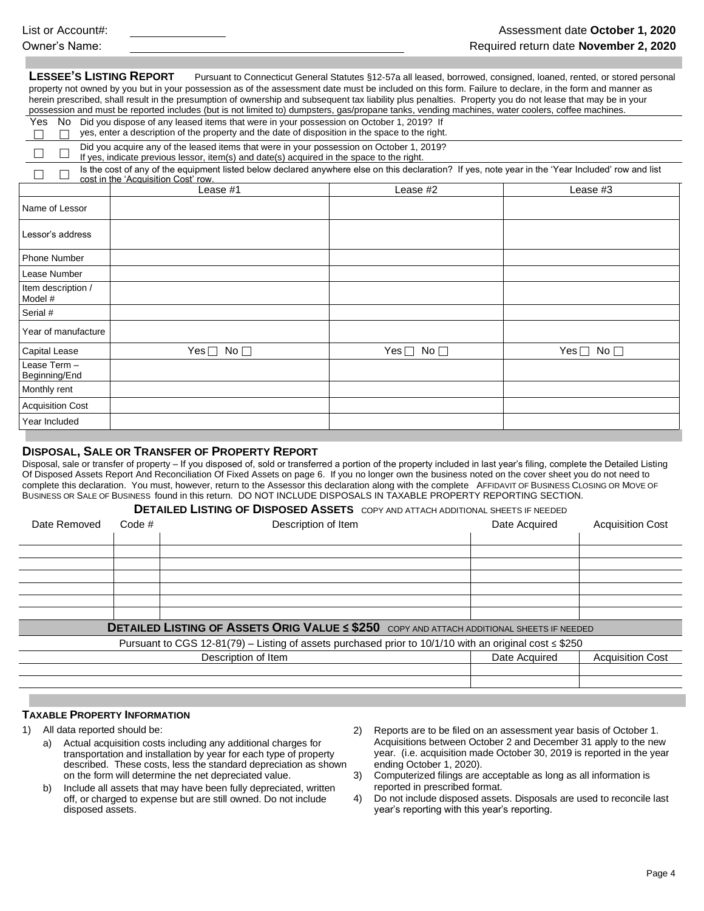**LESSEE'S LISTING REPORT** Pursuant to Connecticut General Statutes §12-57a all leased, borrowed, consigned, loaned, rented, or stored personal property not owned by you but in your possession as of the assessment date must be included on this form. Failure to declare, in the form and manner as herein prescribed, shall result in the presumption of ownership and subsequent tax liability plus penalties. Property you do not lease that may be in your possession and must be reported includes (but is not limited to) dumpsters, gas/propane tanks, vending machines, water coolers, coffee machines.

|  | Yes No Did you dispose of any leased items that were in your possession on October 1, 2019? If  |
|--|-------------------------------------------------------------------------------------------------|
|  | yes, enter a description of the property and the date of disposition in the space to the right. |

|  |  |  | $\Box$ yes, enter a description of the property and the date of disposition in the space to the right. |  |
|--|--|--|--------------------------------------------------------------------------------------------------------|--|
|  |  |  |                                                                                                        |  |

П Did you acquire any of the leased items that were in your possession on October 1, 2019? If yes, indicate previous lessor, item(s) and date(s) acquired in the space to the right.

 $\Box$   $\Box$ Is the cost of any of the equipment listed below declared anywhere else on this declaration? If yes, note year in the 'Year Included' row and list cost in the 'Acquisition Cost' row.

|                               | Lease #1                   | Lease #2             | Lease #3             |
|-------------------------------|----------------------------|----------------------|----------------------|
| Name of Lessor                |                            |                      |                      |
| Lessor's address              |                            |                      |                      |
| Phone Number                  |                            |                      |                      |
| Lease Number                  |                            |                      |                      |
| Item description /<br>Model # |                            |                      |                      |
| Serial #                      |                            |                      |                      |
| Year of manufacture           |                            |                      |                      |
| Capital Lease                 | No $\square$<br>$Yes \Box$ | Yes $\Box$ No $\Box$ | Yes $\Box$ No $\Box$ |
| Lease Term -<br>Beginning/End |                            |                      |                      |
| Monthly rent                  |                            |                      |                      |
| <b>Acquisition Cost</b>       |                            |                      |                      |
| Year Included                 |                            |                      |                      |

## **DISPOSAL, SALE OR TRANSFER OF PROPERTY REPORT**

Disposal, sale or transfer of property – If you disposed of, sold or transferred a portion of the property included in last year's filing, complete the Detailed Listing Of Disposed Assets Report And Reconciliation Of Fixed Assets on page 6. If you no longer own the business noted on the cover sheet you do not need to complete this declaration. You must, however, return to the Assessor this declaration along with the complete AFFIDAVIT OF BUSINESS CLOSING OR MOVE OF BUSINESS OR SALE OF BUSINESS found in this return. DO NOT INCLUDE DISPOSALS IN TAXABLE PROPERTY REPORTING SECTION.

## **DETAILED LISTING OF DISPOSED ASSETS** COPY AND ATTACH ADDITIONAL SHEETS IF NEEDED

| Date Removed | Code # | Description of Item                                                                                         | Date Acquired | <b>Acquisition Cost</b> |  |
|--------------|--------|-------------------------------------------------------------------------------------------------------------|---------------|-------------------------|--|
|              |        |                                                                                                             |               |                         |  |
|              |        |                                                                                                             |               |                         |  |
|              |        |                                                                                                             |               |                         |  |
|              |        |                                                                                                             |               |                         |  |
|              |        |                                                                                                             |               |                         |  |
|              |        |                                                                                                             |               |                         |  |
|              |        |                                                                                                             |               |                         |  |
|              |        | <b>DETAILED LISTING OF ASSETS ORIG VALUE &lt; \$250</b> COPY AND ATTACH ADDITIONAL SHEETS IF NEEDED         |               |                         |  |
|              |        | Pursuant to CGS 12-81(79) – Listing of assets purchased prior to 10/1/10 with an original cost $\leq$ \$250 |               |                         |  |
|              |        | Description of Item                                                                                         | Date Acquired | <b>Acquisition Cost</b> |  |
|              |        |                                                                                                             |               |                         |  |
|              |        |                                                                                                             |               |                         |  |

## **TAXABLE PROPERTY INFORMATION**

- 1) All data reported should be:
	- a) Actual acquisition costs including any additional charges for transportation and installation by year for each type of property described. These costs, less the standard depreciation as shown on the form will determine the net depreciated value.
	- b) Include all assets that may have been fully depreciated, written off, or charged to expense but are still owned. Do not include disposed assets.
- 2) Reports are to be filed on an assessment year basis of October 1. Acquisitions between October 2 and December 31 apply to the new year. (i.e. acquisition made October 30, 2019 is reported in the year ending October 1, 2020).
- 3) Computerized filings are acceptable as long as all information is reported in prescribed format.
- 4) Do not include disposed assets. Disposals are used to reconcile last year's reporting with this year's reporting.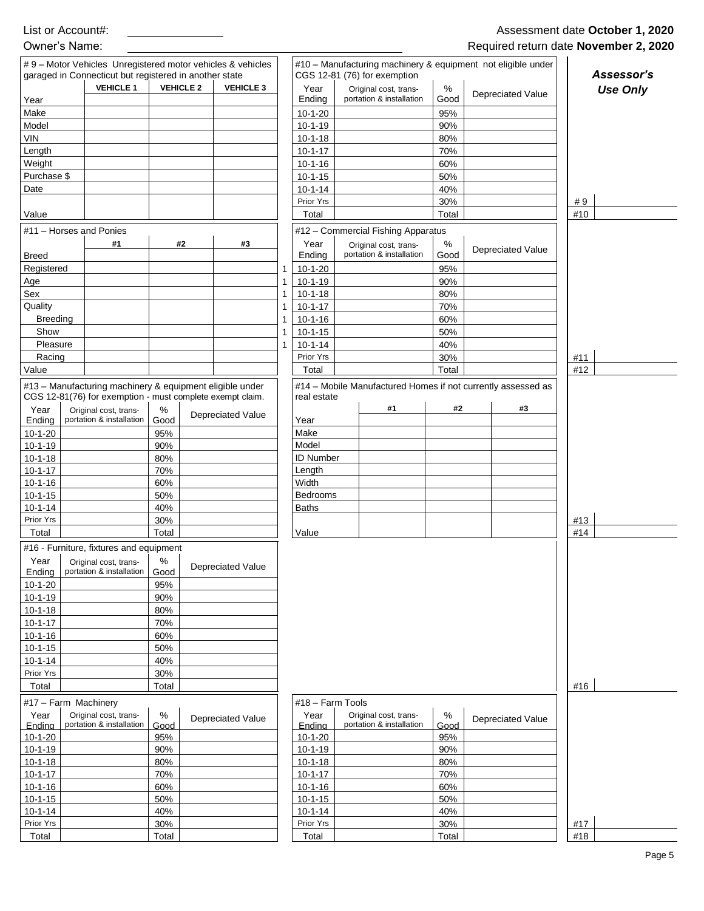|                                                                                                           | garaged in Connecticut but registered in another state<br><b>VEHICLE 1</b> | <b>VEHICLE 2</b> | <b>VEHICLE 3</b>                                          |              | Year             | CGS 12-81 (76) for exemption<br>Original cost, trans-        | %     |                          | Assessor's<br><b>Use Only</b> |
|-----------------------------------------------------------------------------------------------------------|----------------------------------------------------------------------------|------------------|-----------------------------------------------------------|--------------|------------------|--------------------------------------------------------------|-------|--------------------------|-------------------------------|
| Year                                                                                                      |                                                                            |                  |                                                           |              | Ending           | portation & installation                                     | Good  | <b>Depreciated Value</b> |                               |
| Make                                                                                                      |                                                                            |                  |                                                           |              | $10-1-20$        |                                                              | 95%   |                          |                               |
| Model                                                                                                     |                                                                            |                  |                                                           |              | $10 - 1 - 19$    |                                                              | 90%   |                          |                               |
| <b>VIN</b>                                                                                                |                                                                            |                  |                                                           |              | $10-1-18$        |                                                              | 80%   |                          |                               |
| Length                                                                                                    |                                                                            |                  |                                                           |              | $10 - 1 - 17$    |                                                              | 70%   |                          |                               |
| Weight                                                                                                    |                                                                            |                  |                                                           |              | $10 - 1 - 16$    |                                                              | 60%   |                          |                               |
| Purchase \$                                                                                               |                                                                            |                  |                                                           |              | $10 - 1 - 15$    |                                                              | 50%   |                          |                               |
| Date                                                                                                      |                                                                            |                  |                                                           |              | $10 - 1 - 14$    |                                                              | 40%   |                          |                               |
|                                                                                                           |                                                                            |                  |                                                           |              | Prior Yrs        |                                                              | 30%   |                          | #9                            |
| Value                                                                                                     |                                                                            |                  |                                                           |              | Total            |                                                              | Total |                          | #10                           |
| #11 - Horses and Ponies                                                                                   |                                                                            |                  |                                                           |              |                  | #12 - Commercial Fishing Apparatus                           |       |                          |                               |
|                                                                                                           | #1                                                                         |                  | #2<br>#3                                                  |              | Year             | Original cost, trans-                                        | %     |                          |                               |
| <b>Breed</b>                                                                                              |                                                                            |                  |                                                           |              | Ending           | portation & installation                                     | Good  | <b>Depreciated Value</b> |                               |
| Registered                                                                                                |                                                                            |                  |                                                           | 1            | $10-1-20$        |                                                              | 95%   |                          |                               |
| Age                                                                                                       |                                                                            |                  |                                                           | $\mathbf{1}$ | $10-1-19$        |                                                              | 90%   |                          |                               |
| Sex                                                                                                       |                                                                            |                  |                                                           | 1            | $10 - 1 - 18$    |                                                              | 80%   |                          |                               |
| Quality                                                                                                   |                                                                            |                  |                                                           | 1            | $10 - 1 - 17$    |                                                              | 70%   |                          |                               |
| <b>Breeding</b>                                                                                           |                                                                            |                  |                                                           | 1            | $10 - 1 - 16$    |                                                              | 60%   |                          |                               |
| Show                                                                                                      |                                                                            |                  |                                                           | 1            | $10 - 1 - 15$    |                                                              | 50%   |                          |                               |
| Pleasure                                                                                                  |                                                                            |                  |                                                           |              | $10 - 1 - 14$    |                                                              | 40%   |                          |                               |
|                                                                                                           |                                                                            |                  |                                                           | 1            |                  |                                                              |       |                          |                               |
| Racing                                                                                                    |                                                                            |                  |                                                           |              | Prior Yrs        |                                                              | 30%   |                          | #11                           |
| Value                                                                                                     |                                                                            |                  |                                                           |              | Total            |                                                              | Total |                          | #12                           |
|                                                                                                           |                                                                            |                  | #13 - Manufacturing machinery & equipment eligible under  |              |                  | #14 - Mobile Manufactured Homes if not currently assessed as |       |                          |                               |
|                                                                                                           |                                                                            |                  | CGS 12-81(76) for exemption - must complete exempt claim. |              | real estate      |                                                              |       |                          |                               |
| Year                                                                                                      | Original cost, trans-                                                      | $\%$             | <b>Depreciated Value</b>                                  |              |                  | #1                                                           | #2    | #3                       |                               |
| Ending                                                                                                    | portation & installation                                                   | Good             |                                                           |              | Year             |                                                              |       |                          |                               |
| $10-1-20$                                                                                                 |                                                                            | 95%              |                                                           |              | Make             |                                                              |       |                          |                               |
| $10 - 1 - 19$                                                                                             |                                                                            | 90%              |                                                           |              | Model            |                                                              |       |                          |                               |
| $10 - 1 - 18$                                                                                             |                                                                            | 80%              |                                                           |              | <b>ID Number</b> |                                                              |       |                          |                               |
| $10 - 1 - 17$                                                                                             |                                                                            | 70%              |                                                           |              | Length           |                                                              |       |                          |                               |
| $10 - 1 - 16$                                                                                             |                                                                            | 60%              |                                                           |              | Width            |                                                              |       |                          |                               |
| $10 - 1 - 15$                                                                                             |                                                                            | 50%              |                                                           |              | <b>Bedrooms</b>  |                                                              |       |                          |                               |
| $10 - 1 - 14$                                                                                             |                                                                            | 40%              |                                                           |              | <b>Baths</b>     |                                                              |       |                          |                               |
| Prior Yrs                                                                                                 |                                                                            | 30%              |                                                           |              |                  |                                                              |       |                          | #13                           |
| Total                                                                                                     |                                                                            | Total            |                                                           |              | Value            |                                                              |       |                          | #14                           |
|                                                                                                           | #16 - Furniture, fixtures and equipment                                    |                  |                                                           |              |                  |                                                              |       |                          |                               |
| Year                                                                                                      | Original cost, trans-                                                      | %                | Depreciated Value                                         |              |                  |                                                              |       |                          |                               |
| Ending                                                                                                    | portation & installation                                                   | Good             |                                                           |              |                  |                                                              |       |                          |                               |
| $10-1-20$                                                                                                 |                                                                            | 95%              |                                                           |              |                  |                                                              |       |                          |                               |
| $10 - 1 - 19$<br>$10 - 1 - 18$                                                                            |                                                                            | 90%<br>80%       |                                                           |              |                  |                                                              |       |                          |                               |
| $10 - 1 - 17$                                                                                             |                                                                            | 70%              |                                                           |              |                  |                                                              |       |                          |                               |
|                                                                                                           |                                                                            |                  |                                                           |              |                  |                                                              |       |                          |                               |
| $10 - 1 - 16$                                                                                             |                                                                            | 60%              |                                                           |              |                  |                                                              |       |                          |                               |
| $10 - 1 - 15$                                                                                             |                                                                            | 50%              |                                                           |              |                  |                                                              |       |                          |                               |
|                                                                                                           |                                                                            | 40%              |                                                           |              |                  |                                                              |       |                          |                               |
|                                                                                                           |                                                                            | 30%              |                                                           |              |                  |                                                              |       |                          |                               |
| Prior Yrs                                                                                                 |                                                                            | Total            |                                                           |              |                  |                                                              |       |                          | #16                           |
| Total                                                                                                     |                                                                            |                  |                                                           |              | #18 - Farm Tools |                                                              |       |                          |                               |
|                                                                                                           |                                                                            |                  |                                                           |              | Year             | Original cost, trans-                                        | $\%$  | <b>Depreciated Value</b> |                               |
| Year                                                                                                      | Original cost, trans-                                                      | $\%$             | Depreciated Value                                         |              |                  | portation & installation                                     | Good  |                          |                               |
| Endina                                                                                                    | portation & installation                                                   | Good             |                                                           |              | Endina           |                                                              |       |                          |                               |
|                                                                                                           |                                                                            | 95%              |                                                           |              | $10-1-20$        |                                                              | 95%   |                          |                               |
|                                                                                                           |                                                                            | 90%              |                                                           |              | $10 - 1 - 19$    |                                                              | 90%   |                          |                               |
|                                                                                                           |                                                                            | 80%              |                                                           |              | $10 - 1 - 18$    |                                                              | 80%   |                          |                               |
| $10 - 1 - 14$<br>#17 - Farm Machinery<br>$10 - 1 - 20$<br>$10 - 1 - 19$<br>$10 - 1 - 18$<br>$10 - 1 - 17$ |                                                                            | 70%              |                                                           |              | $10 - 1 - 17$    |                                                              | 70%   |                          |                               |
|                                                                                                           |                                                                            | 60%              |                                                           |              | $10 - 1 - 16$    |                                                              | 60%   |                          |                               |
|                                                                                                           |                                                                            | 50%              |                                                           |              | $10 - 1 - 15$    |                                                              | 50%   |                          |                               |
|                                                                                                           |                                                                            | 40%              |                                                           |              | $10 - 1 - 14$    |                                                              | 40%   |                          |                               |
| $10 - 1 - 16$<br>$10 - 1 - 15$<br>$10 - 1 - 14$<br>Prior Yrs                                              |                                                                            | 30%              |                                                           |              | Prior Yrs        |                                                              | 30%   |                          | #17                           |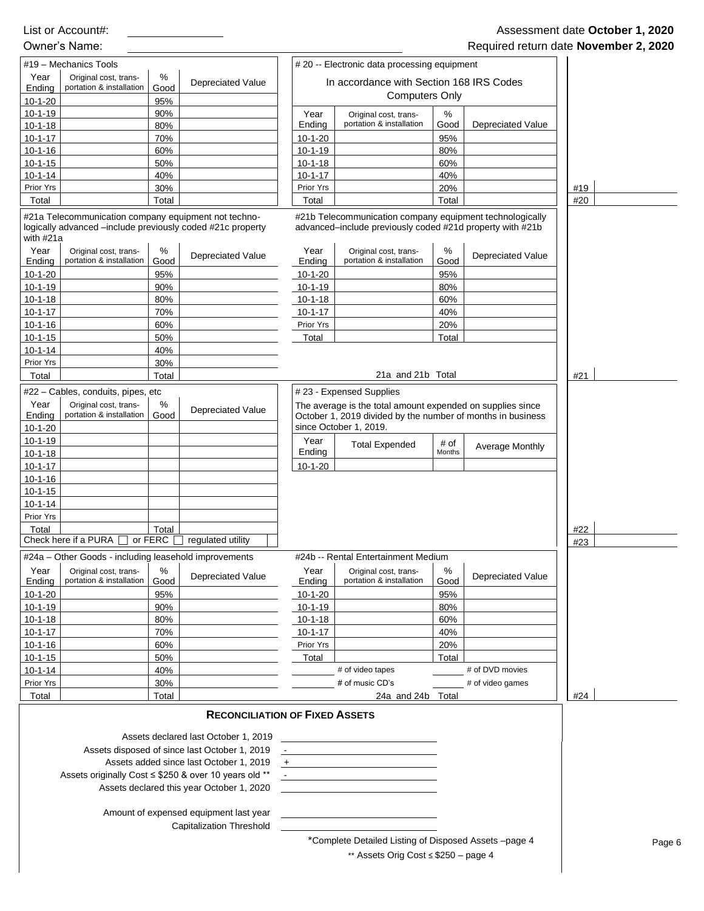|                                | #19 - Mechanics Tools                                                                                              |                |                                                                                       |                                | #20 -- Electronic data processing equipment                                                                               |            |                          |     |        |
|--------------------------------|--------------------------------------------------------------------------------------------------------------------|----------------|---------------------------------------------------------------------------------------|--------------------------------|---------------------------------------------------------------------------------------------------------------------------|------------|--------------------------|-----|--------|
| Year                           | Original cost, trans-                                                                                              | %              |                                                                                       |                                |                                                                                                                           |            |                          |     |        |
| Ending                         | portation & installation                                                                                           | Good           | <b>Depreciated Value</b>                                                              |                                | In accordance with Section 168 IRS Codes                                                                                  |            |                          |     |        |
| $10 - 1 - 20$                  |                                                                                                                    | 95%            |                                                                                       |                                | <b>Computers Only</b>                                                                                                     |            |                          |     |        |
| $10-1-19$                      |                                                                                                                    | 90%            |                                                                                       | Year<br>Ending                 | Original cost, trans-<br>portation & installation                                                                         | %<br>Good  | <b>Depreciated Value</b> |     |        |
| $10-1-18$<br>$10 - 1 - 17$     |                                                                                                                    | 80%<br>70%     |                                                                                       | $10-1-20$                      |                                                                                                                           | 95%        |                          |     |        |
| $10-1-16$                      |                                                                                                                    | 60%            |                                                                                       | $10 - 1 - 19$                  |                                                                                                                           | 80%        |                          |     |        |
| $10 - 1 - 15$                  |                                                                                                                    | 50%            |                                                                                       | $10 - 1 - 18$                  |                                                                                                                           | 60%        |                          |     |        |
| $10 - 1 - 14$                  |                                                                                                                    | 40%            |                                                                                       | $10 - 1 - 17$                  |                                                                                                                           | 40%        |                          |     |        |
| Prior Yrs                      |                                                                                                                    | 30%            |                                                                                       | Prior Yrs                      |                                                                                                                           | 20%        |                          | #19 |        |
| Total                          |                                                                                                                    | Total          |                                                                                       | Total                          |                                                                                                                           | Total      |                          | #20 |        |
| with #21a                      | #21a Telecommunication company equipment not techno-<br>logically advanced -include previously coded #21c property |                |                                                                                       |                                | #21b Telecommunication company equipment technologically<br>advanced-include previously coded #21d property with #21b     |            |                          |     |        |
| Year                           | Original cost, trans-                                                                                              | $\%$           | <b>Depreciated Value</b>                                                              | Year                           | Original cost, trans-                                                                                                     | $\%$       | <b>Depreciated Value</b> |     |        |
| Ending                         | portation & installation                                                                                           | Good           |                                                                                       | Ending                         | portation & installation                                                                                                  | Good       |                          |     |        |
| $10 - 1 - 20$<br>$10 - 1 - 19$ |                                                                                                                    | 95%<br>90%     |                                                                                       | $10 - 1 - 20$<br>$10 - 1 - 19$ |                                                                                                                           | 95%<br>80% |                          |     |        |
| $10 - 1 - 18$                  |                                                                                                                    | 80%            |                                                                                       | $10-1-18$                      |                                                                                                                           | 60%        |                          |     |        |
| $10 - 1 - 17$                  |                                                                                                                    | 70%            |                                                                                       | $10 - 1 - 17$                  |                                                                                                                           | 40%        |                          |     |        |
| $10 - 1 - 16$                  |                                                                                                                    | 60%            |                                                                                       | Prior Yrs                      |                                                                                                                           | 20%        |                          |     |        |
| $10 - 1 - 15$                  |                                                                                                                    | 50%            |                                                                                       | Total                          |                                                                                                                           | Total      |                          |     |        |
| $10 - 1 - 14$                  |                                                                                                                    | 40%            |                                                                                       |                                |                                                                                                                           |            |                          |     |        |
| Prior Yrs                      |                                                                                                                    | 30%            |                                                                                       |                                | 21a and 21b Total                                                                                                         |            |                          |     |        |
| Total                          |                                                                                                                    | Total          |                                                                                       |                                |                                                                                                                           |            |                          | #21 |        |
|                                | #22 - Cables, conduits, pipes, etc                                                                                 |                |                                                                                       |                                | #23 - Expensed Supplies                                                                                                   |            |                          |     |        |
| Year<br>Ending                 | Original cost, trans-<br>portation & installation                                                                  | %<br>Good      | <b>Depreciated Value</b>                                                              |                                | The average is the total amount expended on supplies since<br>October 1, 2019 divided by the number of months in business |            |                          |     |        |
| $10-1-20$                      |                                                                                                                    |                |                                                                                       |                                | since October 1, 2019.                                                                                                    |            |                          |     |        |
| $10-1-19$                      |                                                                                                                    |                |                                                                                       | Year                           | <b>Total Expended</b>                                                                                                     | # of       | Average Monthly          |     |        |
| $10-1-18$                      |                                                                                                                    |                |                                                                                       | Ending                         |                                                                                                                           | Months     |                          |     |        |
| $10 - 1 - 17$                  |                                                                                                                    |                |                                                                                       | $10-1-20$                      |                                                                                                                           |            |                          |     |        |
| $10 - 1 - 16$<br>$10 - 1 - 15$ |                                                                                                                    |                |                                                                                       |                                |                                                                                                                           |            |                          |     |        |
| $10 - 1 - 14$                  |                                                                                                                    |                |                                                                                       |                                |                                                                                                                           |            |                          |     |        |
| Prior Yrs                      |                                                                                                                    |                |                                                                                       |                                |                                                                                                                           |            |                          |     |        |
| Total                          |                                                                                                                    | Total          |                                                                                       |                                |                                                                                                                           |            |                          | #22 |        |
|                                | Check here if a PURA $\Box$                                                                                        | or FERC $\Box$ | regulated utility                                                                     |                                |                                                                                                                           |            |                          | #23 |        |
|                                | #24a - Other Goods - including leasehold improvements                                                              |                |                                                                                       |                                | #24b -- Rental Entertainment Medium                                                                                       |            |                          |     |        |
| Year<br>Ending                 | Original cost, trans-<br>portation & installation                                                                  | %<br>Good      | <b>Depreciated Value</b>                                                              | Year<br>Ending                 | Original cost, trans-<br>portation & installation                                                                         | %<br>Good  | <b>Depreciated Value</b> |     |        |
| $10-1-20$                      |                                                                                                                    | 95%            |                                                                                       | $10-1-20$                      |                                                                                                                           | 95%        |                          |     |        |
| $10 - 1 - 19$<br>$10-1-18$     |                                                                                                                    | 90%<br>80%     |                                                                                       | $10 - 1 - 19$<br>$10 - 1 - 18$ |                                                                                                                           | 80%<br>60% |                          |     |        |
| $10 - 1 - 17$                  |                                                                                                                    | 70%            |                                                                                       | $10 - 1 - 17$                  |                                                                                                                           | 40%        |                          |     |        |
| $10 - 1 - 16$                  |                                                                                                                    | 60%            |                                                                                       | Prior Yrs                      |                                                                                                                           | 20%        |                          |     |        |
| $10 - 1 - 15$                  |                                                                                                                    | 50%            |                                                                                       | Total                          |                                                                                                                           | Total      |                          |     |        |
| $10 - 1 - 14$                  |                                                                                                                    | 40%            |                                                                                       |                                | # of video tapes                                                                                                          |            | # of DVD movies          |     |        |
| Prior Yrs                      |                                                                                                                    | 30%            |                                                                                       |                                | # of music CD's                                                                                                           |            | # of video games         | #24 |        |
| Total                          |                                                                                                                    | Total          |                                                                                       |                                | 24a and 24b Total                                                                                                         |            |                          |     |        |
|                                |                                                                                                                    |                | <b>RECONCILIATION OF FIXED ASSETS</b>                                                 |                                |                                                                                                                           |            |                          |     |        |
|                                |                                                                                                                    |                | Assets declared last October 1, 2019<br>Assets disposed of since last October 1, 2019 |                                |                                                                                                                           |            |                          |     |        |
|                                |                                                                                                                    |                | Assets added since last October 1, 2019                                               | $+$                            |                                                                                                                           |            |                          |     |        |
|                                |                                                                                                                    |                | Assets originally Cost ≤ \$250 & over 10 years old **                                 |                                | the control of the control of the control of the control of the control of the control of                                 |            |                          |     |        |
|                                |                                                                                                                    |                | Assets declared this year October 1, 2020                                             |                                |                                                                                                                           |            |                          |     |        |
|                                |                                                                                                                    |                | Amount of expensed equipment last year<br><b>Capitalization Threshold</b>             |                                |                                                                                                                           |            |                          |     |        |
|                                |                                                                                                                    |                |                                                                                       |                                | *Complete Detailed Listing of Disposed Assets -page 4                                                                     |            |                          |     | Page 6 |
|                                |                                                                                                                    |                |                                                                                       |                                | ** Assets Orig Cost ≤ \$250 - page 4                                                                                      |            |                          |     |        |
|                                |                                                                                                                    |                |                                                                                       |                                |                                                                                                                           |            |                          |     |        |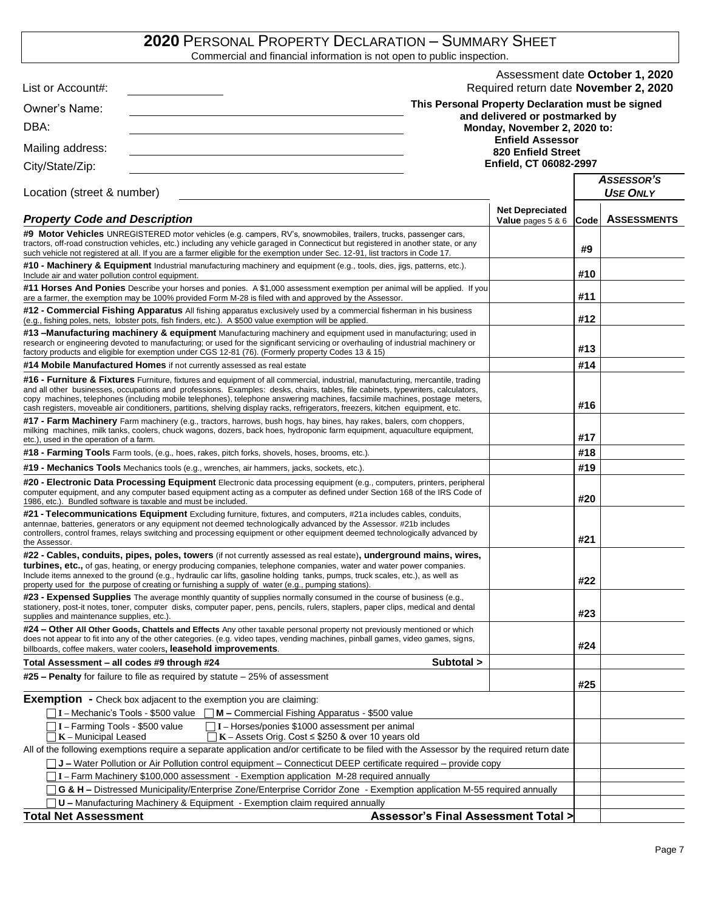# **2020** PERSONAL PROPERTY DECLARATION – SUMMARY SHEET

Commercial and financial information is not open to public inspection.

| List or Account#:                                                                                                                                                                                                                                                                                                                                                                                |                                               | Assessment date October 1, 2020<br>Required return date November 2, 2020 |      |                                      |
|--------------------------------------------------------------------------------------------------------------------------------------------------------------------------------------------------------------------------------------------------------------------------------------------------------------------------------------------------------------------------------------------------|-----------------------------------------------|--------------------------------------------------------------------------|------|--------------------------------------|
|                                                                                                                                                                                                                                                                                                                                                                                                  |                                               | This Personal Property Declaration must be signed                        |      |                                      |
| Owner's Name:                                                                                                                                                                                                                                                                                                                                                                                    |                                               | and delivered or postmarked by                                           |      |                                      |
| DBA:                                                                                                                                                                                                                                                                                                                                                                                             |                                               | Monday, November 2, 2020 to:                                             |      |                                      |
| Mailing address:                                                                                                                                                                                                                                                                                                                                                                                 |                                               | <b>Enfield Assessor</b><br>820 Enfield Street                            |      |                                      |
| City/State/Zip:                                                                                                                                                                                                                                                                                                                                                                                  |                                               | Enfield, CT 06082-2997                                                   |      |                                      |
| Location (street & number)                                                                                                                                                                                                                                                                                                                                                                       |                                               |                                                                          |      | <b>ASSESSOR'S</b><br><b>USE ONLY</b> |
| <b>Property Code and Description</b>                                                                                                                                                                                                                                                                                                                                                             |                                               | <b>Net Depreciated</b><br><b>Value</b> pages $5 & 6$                     | Code | <b>ASSESSMENTS</b>                   |
| #9 Motor Vehicles UNREGISTERED motor vehicles (e.g. campers, RV's, snowmobiles, trailers, trucks, passenger cars,<br>tractors, off-road construction vehicles, etc.) including any vehicle garaged in Connecticut but registered in another state, or any<br>such vehicle not registered at all. If you are a farmer eligible for the exemption under Sec. 12-91, list tractors in Code 17.      |                                               |                                                                          | #9   |                                      |
| <b>#10 - Machinery &amp; Equipment</b> Industrial manufacturing machinery and equipment (e.g., tools, dies, jigs, patterns, etc.).<br>Include air and water pollution control equipment.                                                                                                                                                                                                         |                                               |                                                                          | #10  |                                      |
| #11 Horses And Ponies Describe your horses and ponies. A \$1,000 assessment exemption per animal will be applied. If you<br>are a farmer, the exemption may be 100% provided Form M-28 is filed with and approved by the Assessor.                                                                                                                                                               |                                               |                                                                          | #11  |                                      |
| #12 - Commercial Fishing Apparatus All fishing apparatus exclusively used by a commercial fisherman in his business<br>(e.g., fishing poles, nets, lobster pots, fish finders, etc.). A \$500 value exemption will be applied.                                                                                                                                                                   |                                               |                                                                          | #12  |                                      |
| #13 -Manufacturing machinery & equipment Manufacturing machinery and equipment used in manufacturing; used in<br>research or engineering devoted to manufacturing; or used for the significant servicing or overhauling of industrial machinery or<br>factory products and eligible for exemption under CGS 12-81 (76). (Formerly property Codes 13 & 15)                                        |                                               |                                                                          | #13  |                                      |
| #14 Mobile Manufactured Homes if not currently assessed as real estate                                                                                                                                                                                                                                                                                                                           |                                               |                                                                          | #14  |                                      |
| #16 - Furniture & Fixtures Furniture, fixtures and equipment of all commercial, industrial, manufacturing, mercantile, trading<br>and all other businesses, occupations and professions. Examples: desks, chairs, tables, file cabinets, typewriters, calculators,<br>copy machines, telephones (including mobile telephones), telephone answering machines, facsimile machines, postage meters, |                                               |                                                                          |      |                                      |
| cash registers, moveable air conditioners, partitions, shelving display racks, refrigerators, freezers, kitchen equipment, etc.                                                                                                                                                                                                                                                                  |                                               |                                                                          | #16  |                                      |
| <b>#17 - Farm Machinery</b> Farm machinery (e.g., tractors, harrows, bush hogs, hay bines, hay rakes, balers, com choppers,<br>milking machines, milk tanks, coolers, chuck wagons, dozers, back hoes, hydroponic farm equipment, aquaculture equipment,<br>etc.), used in the operation of a farm.                                                                                              |                                               |                                                                          | #17  |                                      |
| #18 - Farming Tools Farm tools, (e.g., hoes, rakes, pitch forks, shovels, hoses, brooms, etc.).                                                                                                                                                                                                                                                                                                  |                                               |                                                                          | #18  |                                      |
| <b>#19 - Mechanics Tools</b> Mechanics tools (e.g., wrenches, air hammers, jacks, sockets, etc.).                                                                                                                                                                                                                                                                                                |                                               |                                                                          | #19  |                                      |
| #20 - Electronic Data Processing Equipment Electronic data processing equipment (e.g., computers, printers, peripheral<br>computer equipment, and any computer based equipment acting as a computer as defined under Section 168 of the IRS Code of<br>1986, etc.). Bundled software is taxable and must be included.                                                                            |                                               |                                                                          | #20  |                                      |
| #21 - Telecommunications Equipment Excluding furniture, fixtures, and computers, #21a includes cables, conduits,<br>antennae, batteries, generators or any equipment not deemed technologically advanced by the Assessor. #21b includes<br>controllers, control frames, relays switching and processing equipment or other equipment deemed technologically advanced by<br>the Assessor.         |                                               |                                                                          | #21  |                                      |
| #22 - Cables, conduits, pipes, poles, towers (if not currently assessed as real estate), underground mains, wires,<br>turbines, etc., of gas, heating, or energy producing companies, telephone companies, water and water power companies.                                                                                                                                                      |                                               |                                                                          |      |                                      |
| Include items annexed to the ground (e.g., hydraulic car lifts, gasoline holding tanks, pumps, truck scales, etc.), as well as<br>property used for the purpose of creating or furnishing a supply of water (e.g., pumping stations)                                                                                                                                                             |                                               |                                                                          | #22  |                                      |
| #23 - Expensed Supplies The average monthly quantity of supplies normally consumed in the course of business (e.g.,<br>stationery, post-it notes, toner, computer disks, computer paper, pens, pencils, rulers, staplers, paper clips, medical and dental<br>supplies and maintenance supplies, etc.).                                                                                           |                                               |                                                                          | #23  |                                      |
| #24 - Other All Other Goods, Chattels and Effects Any other taxable personal property not previously mentioned or which<br>does not appear to fit into any of the other categories. (e.g. video tapes, vending machines, pinball games, video games, signs,<br>billboards, coffee makers, water coolers, leasehold improvements.                                                                 |                                               |                                                                          | #24  |                                      |
| Total Assessment – all codes #9 through #24                                                                                                                                                                                                                                                                                                                                                      | Subtotal >                                    |                                                                          |      |                                      |
| $\#25$ – Penalty for failure to file as required by statute – 25% of assessment                                                                                                                                                                                                                                                                                                                  |                                               |                                                                          | #25  |                                      |
| <b>Exemption</b> - Check box adjacent to the exemption you are claiming:                                                                                                                                                                                                                                                                                                                         |                                               |                                                                          |      |                                      |
| I - Mechanic's Tools - \$500 value   M - Commercial Fishing Apparatus - \$500 value                                                                                                                                                                                                                                                                                                              |                                               |                                                                          |      |                                      |
| I - Farming Tools - \$500 value<br>$\Box$ I – Horses/ponies \$1000 assessment per animal<br>$K$ – Municipal Leased<br>$K -$ Assets Orig. Cost $\le$ \$250 & over 10 years old                                                                                                                                                                                                                    |                                               |                                                                          |      |                                      |
| All of the following exemptions require a separate application and/or certificate to be filed with the Assessor by the required return date                                                                                                                                                                                                                                                      |                                               |                                                                          |      |                                      |
| $\Box$ J – Water Pollution or Air Pollution control equipment – Connecticut DEEP certificate required – provide copy<br>I - Farm Machinery \$100,000 assessment - Exemption application M-28 required annually                                                                                                                                                                                   |                                               |                                                                          |      |                                      |
| G & H – Distressed Municipality/Enterprise Zone/Enterprise Corridor Zone - Exemption application M-55 required annually                                                                                                                                                                                                                                                                          |                                               |                                                                          |      |                                      |
| U - Manufacturing Machinery & Equipment - Exemption claim required annually                                                                                                                                                                                                                                                                                                                      |                                               |                                                                          |      |                                      |
| <b>Total Net Assessment</b>                                                                                                                                                                                                                                                                                                                                                                      | <b>Assessor's Final Assessment Total &gt;</b> |                                                                          |      |                                      |